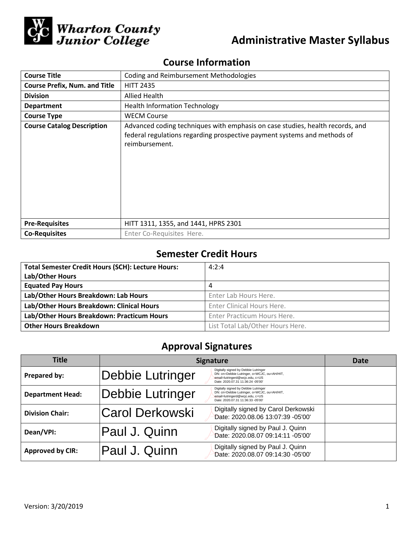

# **Course Information**

| <b>Course Title</b>                  | <b>Coding and Reimbursement Methodologies</b>                                                                                                                               |  |  |
|--------------------------------------|-----------------------------------------------------------------------------------------------------------------------------------------------------------------------------|--|--|
| <b>Course Prefix, Num. and Title</b> | <b>HITT 2435</b>                                                                                                                                                            |  |  |
| <b>Division</b>                      | Allied Health                                                                                                                                                               |  |  |
| <b>Department</b>                    | <b>Health Information Technology</b>                                                                                                                                        |  |  |
| <b>Course Type</b>                   | <b>WECM Course</b>                                                                                                                                                          |  |  |
| <b>Course Catalog Description</b>    | Advanced coding techniques with emphasis on case studies, health records, and<br>federal regulations regarding prospective payment systems and methods of<br>reimbursement. |  |  |
| <b>Pre-Requisites</b>                | HITT 1311, 1355, and 1441, HPRS 2301                                                                                                                                        |  |  |
| <b>Co-Requisites</b>                 | Enter Co-Requisites Here.                                                                                                                                                   |  |  |

## **Semester Credit Hours**

| <b>Total Semester Credit Hours (SCH): Lecture Hours:</b> | 4:2:4                            |
|----------------------------------------------------------|----------------------------------|
| Lab/Other Hours                                          |                                  |
| <b>Equated Pay Hours</b>                                 | 4                                |
| Lab/Other Hours Breakdown: Lab Hours                     | Enter Lab Hours Here.            |
| Lab/Other Hours Breakdown: Clinical Hours                | Enter Clinical Hours Here.       |
| Lab/Other Hours Breakdown: Practicum Hours               | Enter Practicum Hours Here.      |
| <b>Other Hours Breakdown</b>                             | List Total Lab/Other Hours Here. |

## **Approval Signatures**

| <b>Title</b>            | <b>Signature</b> |                                                                                                                                                             | Date |
|-------------------------|------------------|-------------------------------------------------------------------------------------------------------------------------------------------------------------|------|
| Prepared by:            | Debbie Lutringer | Digitally signed by Debbie Lutringer<br>DN: cn=Debbie Lutringer, o=WCJC, ou=AH/HIT,<br>email=lutringerd@wcjc.edu, c=US<br>Date: 2020.07.31 11:36:24 -05'00' |      |
| <b>Department Head:</b> | Debbie Lutringer | Digitally signed by Debbie Lutringer<br>DN: cn=Debbie Lutringer, o=WCJC, ou=AH/HIT,<br>email=lutringerd@wcjc.edu, c=US<br>Date: 2020.07.31 11:36:33 -05'00' |      |
| <b>Division Chair:</b>  | Carol Derkowski  | Digitally signed by Carol Derkowski<br>Date: 2020.08.06 13:07:39 -05'00'                                                                                    |      |
| Dean/VPI:               | Paul J. Quinn    | Digitally signed by Paul J. Quinn<br>Date: 2020.08.07 09:14:11 -05'00'                                                                                      |      |
| <b>Approved by CIR:</b> | Paul J. Quinn    | Digitally signed by Paul J. Quinn<br>Date: 2020.08.07 09:14:30 -05'00'                                                                                      |      |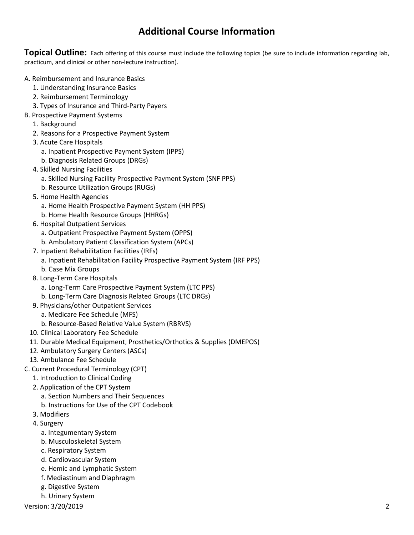## **Additional Course Information**

**Topical Outline:** Each offering of this course must include the following topics (be sure to include information regarding lab, practicum, and clinical or other non-lecture instruction).

- A. Reimbursement and Insurance Basics
	- 1. Understanding Insurance Basics
	- 2. Reimbursement Terminology
	- 3. Types of Insurance and Third-Party Payers
- B. Prospective Payment Systems
	- 1. Background
	- 2. Reasons for a Prospective Payment System
	- 3. Acute Care Hospitals
		- a. Inpatient Prospective Payment System (IPPS)
		- b. Diagnosis Related Groups (DRGs)
	- 4. Skilled Nursing Facilities
		- a. Skilled Nursing Facility Prospective Payment System (SNF PPS)
		- b. Resource Utilization Groups (RUGs)
	- 5. Home Health Agencies
		- a. Home Health Prospective Payment System (HH PPS)
		- b. Home Health Resource Groups (HHRGs)
	- 6. Hospital Outpatient Services
		- a. Outpatient Prospective Payment System (OPPS)
		- b. Ambulatory Patient Classification System (APCs)
	- 7. Inpatient Rehabilitation Facilities (IRFs)
		- a. Inpatient Rehabilitation Facility Prospective Payment System (IRF PPS)
		- b. Case Mix Groups
	- 8. Long-Term Care Hospitals
		- a. Long-Term Care Prospective Payment System (LTC PPS)
		- b. Long-Term Care Diagnosis Related Groups (LTC DRGs)
	- 9. Physicians/other Outpatient Services
		- a. Medicare Fee Schedule (MFS)
		- b. Resource-Based Relative Value System (RBRVS)
	- 10. Clinical Laboratory Fee Schedule
	- 11. Durable Medical Equipment, Prosthetics/Orthotics & Supplies (DMEPOS)
	- 12. Ambulatory Surgery Centers (ASCs)
	- 13. Ambulance Fee Schedule
- C. Current Procedural Terminology (CPT)
	- 1. Introduction to Clinical Coding
	- 2. Application of the CPT System
		- a. Section Numbers and Their Sequences b. Instructions for Use of the CPT Codebook
	- 3. Modifiers
	- 4. Surgery
		- a. Integumentary System
		- b. Musculoskeletal System
		- c. Respiratory System
		- d. Cardiovascular System
		- e. Hemic and Lymphatic System
		- f. Mediastinum and Diaphragm
		- g. Digestive System
		- h. Urinary System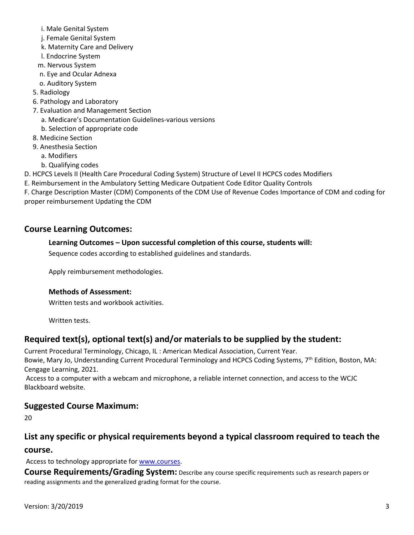- i. Male Genital System
- j. Female Genital System
- k. Maternity Care and Delivery
- l. Endocrine System
- m. Nervous System
- n. Eye and Ocular Adnexa
- o. Auditory System
- 5. Radiology
- 6. Pathology and Laboratory
- 7. Evaluation and Management Section
	- a. Medicare's Documentation Guidelines-various versions
	- b. Selection of appropriate code
- 8. Medicine Section
- 9. Anesthesia Section
	- a. Modifiers
	- b. Qualifying codes
- D. HCPCS Levels II (Health Care Procedural Coding System) Structure of Level II HCPCS codes Modifiers
- E. Reimbursement in the Ambulatory Setting Medicare Outpatient Code Editor Quality Controls
- F. Charge Description Master (CDM) Components of the CDM Use of Revenue Codes Importance of CDM and coding for proper reimbursement Updating the CDM

### **Course Learning Outcomes:**

#### **Learning Outcomes – Upon successful completion of this course, students will:**

Sequence codes according to established guidelines and standards.

Apply reimbursement methodologies.

#### **Methods of Assessment:**

Written tests and workbook activities.

Written tests.

### **Required text(s), optional text(s) and/or materials to be supplied by the student:**

Current Procedural Terminology, Chicago, IL : American Medical Association, Current Year.

Bowie, Mary Jo, Understanding Current Procedural Terminology and HCPCS Coding Systems, 7<sup>th</sup> Edition, Boston, MA: Cengage Learning, 2021.

Access to a computer with a webcam and microphone, a reliable internet connection, and access to the WCJC Blackboard website.

### **Suggested Course Maximum:**

20

## **List any specific or physical requirements beyond a typical classroom required to teach the course.**

Access to technology appropriate for [www.courses.](http://www.courses/)

**Course Requirements/Grading System:** Describe any course specific requirements such as research papers or reading assignments and the generalized grading format for the course.